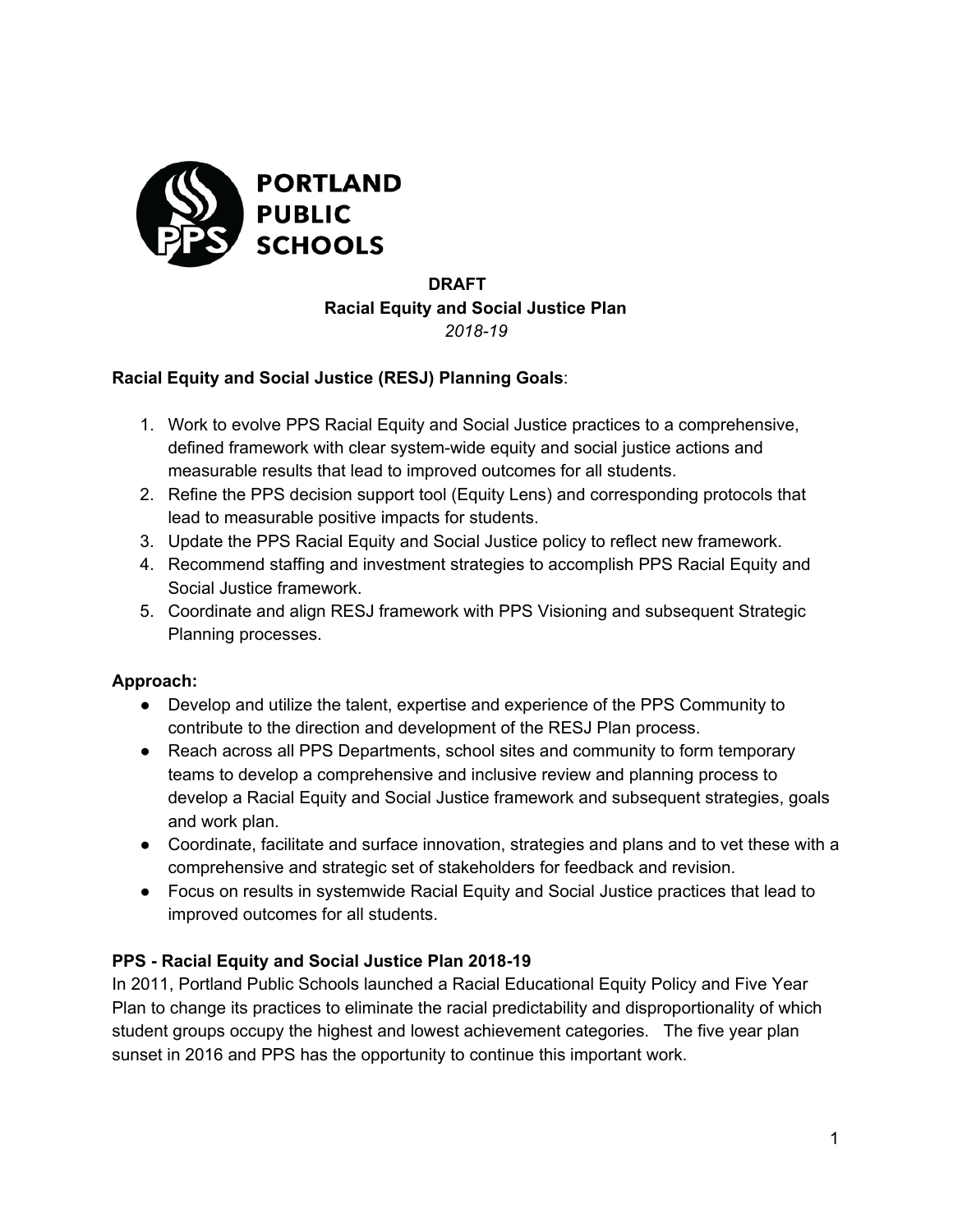

## **DRAFT Racial Equity and Social Justice Plan** *2018-19*

#### **Racial Equity and Social Justice (RESJ) Planning Goals**:

- 1. Work to evolve PPS Racial Equity and Social Justice practices to a comprehensive, defined framework with clear system-wide equity and social justice actions and measurable results that lead to improved outcomes for all students.
- 2. Refine the PPS decision support tool (Equity Lens) and corresponding protocols that lead to measurable positive impacts for students.
- 3. Update the PPS Racial Equity and Social Justice policy to reflect new framework.
- 4. Recommend staffing and investment strategies to accomplish PPS Racial Equity and Social Justice framework.
- 5. Coordinate and align RESJ framework with PPS Visioning and subsequent Strategic Planning processes.

#### **Approach:**

- Develop and utilize the talent, expertise and experience of the PPS Community to contribute to the direction and development of the RESJ Plan process.
- Reach across all PPS Departments, school sites and community to form temporary teams to develop a comprehensive and inclusive review and planning process to develop a Racial Equity and Social Justice framework and subsequent strategies, goals and work plan.
- Coordinate, facilitate and surface innovation, strategies and plans and to vet these with a comprehensive and strategic set of stakeholders for feedback and revision.
- Focus on results in systemwide Racial Equity and Social Justice practices that lead to improved outcomes for all students.

#### **PPS - Racial Equity and Social Justice Plan 2018-19**

In 2011, Portland Public Schools launched a Racial Educational Equity Policy and Five Year Plan to change its practices to eliminate the racial predictability and disproportionality of which student groups occupy the highest and lowest achievement categories. The five year plan sunset in 2016 and PPS has the opportunity to continue this important work.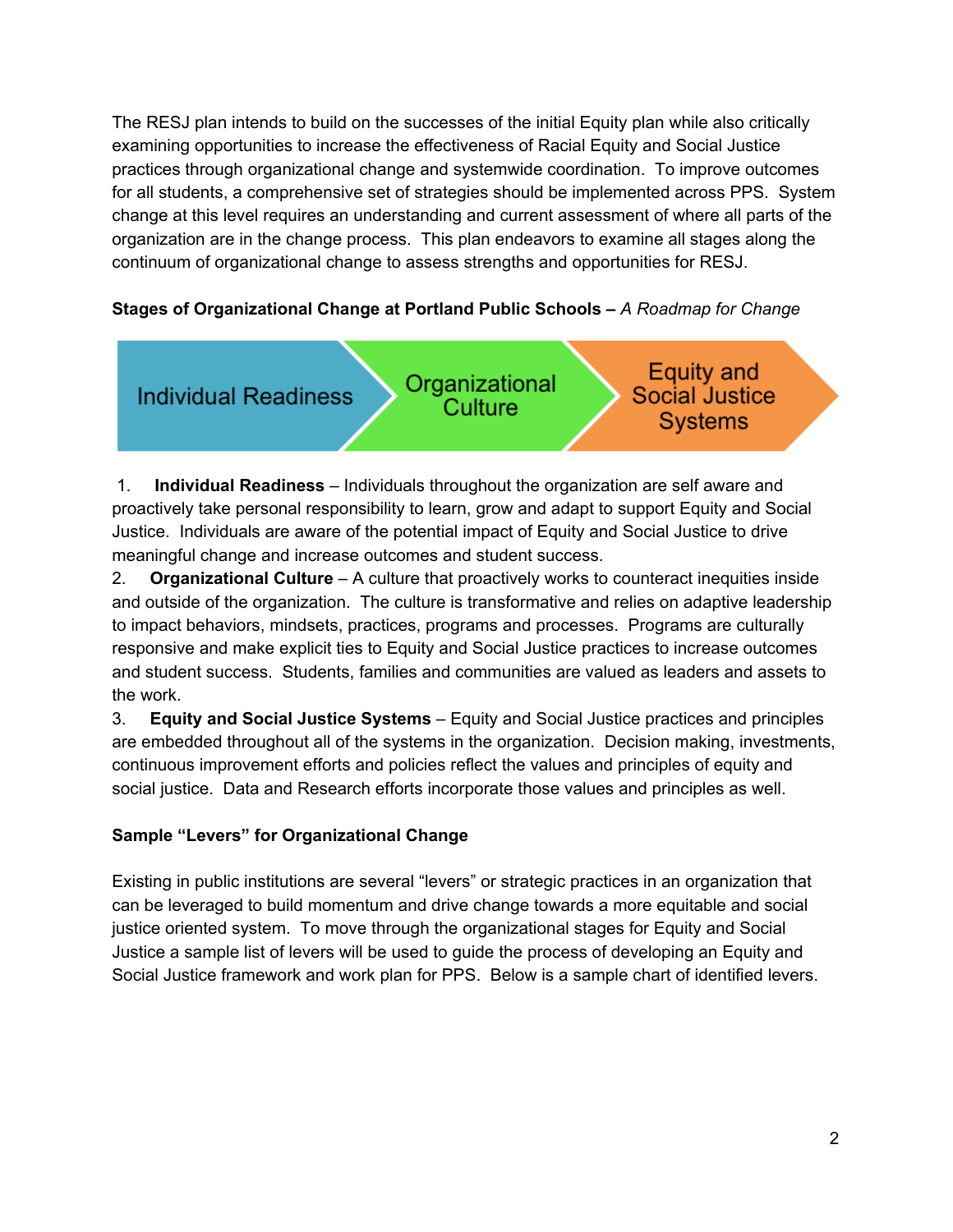The RESJ plan intends to build on the successes of the initial Equity plan while also critically examining opportunities to increase the effectiveness of Racial Equity and Social Justice practices through organizational change and systemwide coordination. To improve outcomes for all students, a comprehensive set of strategies should be implemented across PPS. System change at this level requires an understanding and current assessment of where all parts of the organization are in the change process. This plan endeavors to examine all stages along the continuum of organizational change to assess strengths and opportunities for RESJ.

#### **Stages of Organizational Change at Portland Public Schools –** *A Roadmap for Change*



1. **Individual Readiness** – Individuals throughout the organization are self aware and proactively take personal responsibility to learn, grow and adapt to support Equity and Social Justice. Individuals are aware of the potential impact of Equity and Social Justice to drive meaningful change and increase outcomes and student success.

2. **Organizational Culture** – A culture that proactively works to counteract inequities inside and outside of the organization. The culture is transformative and relies on adaptive leadership to impact behaviors, mindsets, practices, programs and processes. Programs are culturally responsive and make explicit ties to Equity and Social Justice practices to increase outcomes and student success. Students, families and communities are valued as leaders and assets to the work.

3. **Equity and Social Justice Systems** – Equity and Social Justice practices and principles are embedded throughout all of the systems in the organization. Decision making, investments, continuous improvement efforts and policies reflect the values and principles of equity and social justice. Data and Research efforts incorporate those values and principles as well.

#### **Sample "Levers" for Organizational Change**

Existing in public institutions are several "levers" or strategic practices in an organization that can be leveraged to build momentum and drive change towards a more equitable and social justice oriented system. To move through the organizational stages for Equity and Social Justice a sample list of levers will be used to guide the process of developing an Equity and Social Justice framework and work plan for PPS. Below is a sample chart of identified levers.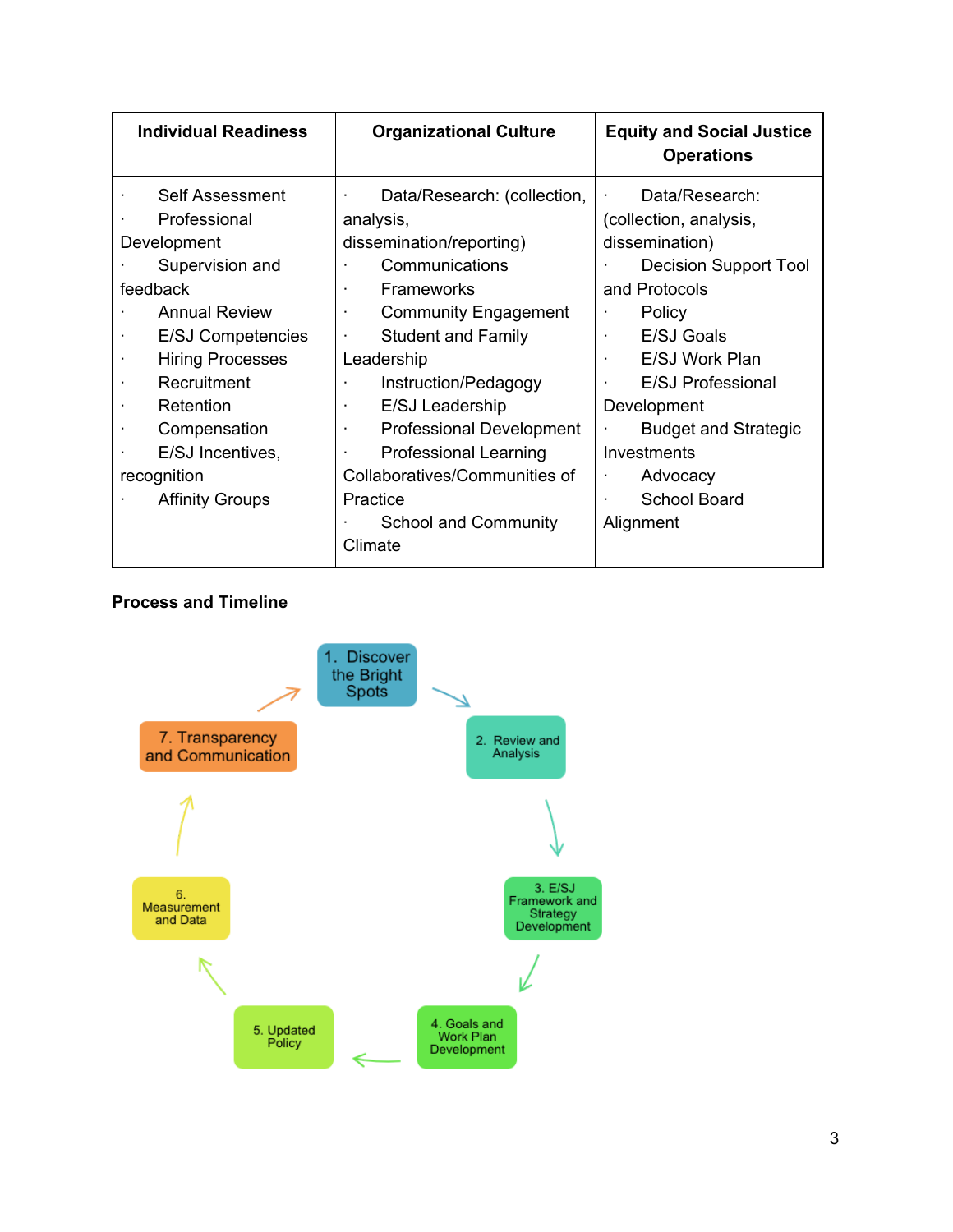| <b>Individual Readiness</b>                                                                                                                                                                                                                                                                              | <b>Organizational Culture</b>                                                                                                                                                                                                                                                                                                                                                                                           | <b>Equity and Social Justice</b><br><b>Operations</b>                                                                                                                                                                                                                                                                                  |
|----------------------------------------------------------------------------------------------------------------------------------------------------------------------------------------------------------------------------------------------------------------------------------------------------------|-------------------------------------------------------------------------------------------------------------------------------------------------------------------------------------------------------------------------------------------------------------------------------------------------------------------------------------------------------------------------------------------------------------------------|----------------------------------------------------------------------------------------------------------------------------------------------------------------------------------------------------------------------------------------------------------------------------------------------------------------------------------------|
| <b>Self Assessment</b><br>Professional<br>Development<br>Supervision and<br>feedback<br><b>Annual Review</b><br><b>E/SJ Competencies</b><br><b>Hiring Processes</b><br>Recruitment<br>٠<br>Retention<br>٠<br>Compensation<br>$\blacksquare$<br>E/SJ Incentives,<br>recognition<br><b>Affinity Groups</b> | Data/Research: (collection,<br>analysis,<br>dissemination/reporting)<br>Communications<br><b>Frameworks</b><br><b>Community Engagement</b><br><b>Student and Family</b><br>$\cdot$<br>Leadership<br>Instruction/Pedagogy<br>$\blacksquare$<br>E/SJ Leadership<br><b>Professional Development</b><br><b>Professional Learning</b><br>Collaboratives/Communities of<br>Practice<br><b>School and Community</b><br>Climate | Data/Research:<br>(collection, analysis,<br>dissemination)<br><b>Decision Support Tool</b><br>and Protocols<br>Policy<br>E/SJ Goals<br>$\cdot$<br>E/SJ Work Plan<br>$\cdot$<br><b>E/SJ Professional</b><br>$\blacksquare$<br>Development<br><b>Budget and Strategic</b><br>Investments<br>Advocacy<br><b>School Board</b><br>Alignment |

#### **Process and Timeline**

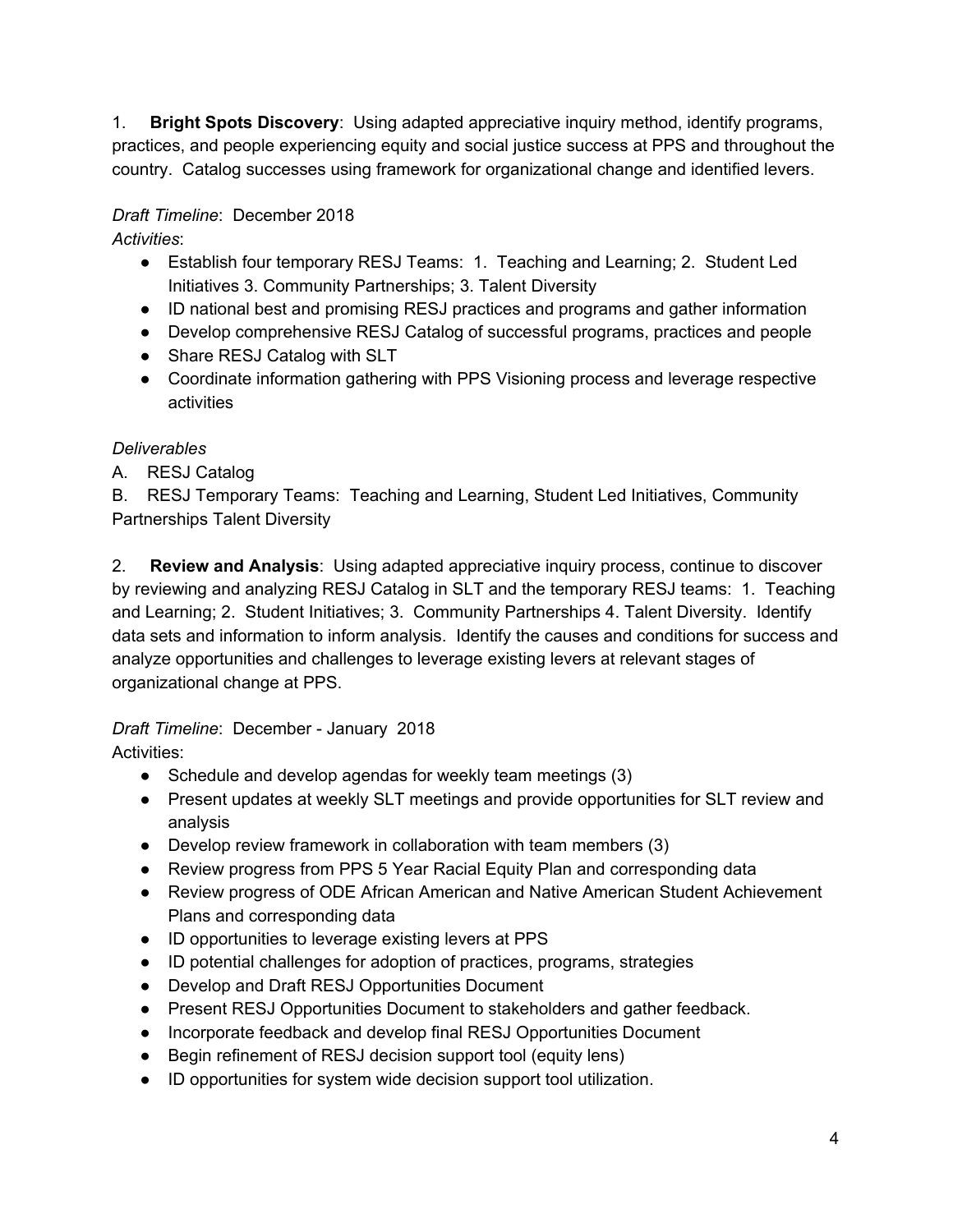1. **Bright Spots Discovery**: Using adapted appreciative inquiry method, identify programs, practices, and people experiencing equity and social justice success at PPS and throughout the country. Catalog successes using framework for organizational change and identified levers.

# *Draft Timeline*: December 2018

*Activities*:

- Establish four temporary RESJ Teams: 1. Teaching and Learning; 2. Student Led Initiatives 3. Community Partnerships; 3. Talent Diversity
- ID national best and promising RESJ practices and programs and gather information
- Develop comprehensive RESJ Catalog of successful programs, practices and people
- Share RESJ Catalog with SLT
- Coordinate information gathering with PPS Visioning process and leverage respective activities

## *Deliverables*

A. RESJ Catalog

B. RESJ Temporary Teams: Teaching and Learning, Student Led Initiatives, Community Partnerships Talent Diversity

2. **Review and Analysis**: Using adapted appreciative inquiry process, continue to discover by reviewing and analyzing RESJ Catalog in SLT and the temporary RESJ teams: 1. Teaching and Learning; 2. Student Initiatives; 3. Community Partnerships 4. Talent Diversity. Identify data sets and information to inform analysis. Identify the causes and conditions for success and analyze opportunities and challenges to leverage existing levers at relevant stages of organizational change at PPS.

*Draft Timeline*: December - January 2018

Activities:

- Schedule and develop agendas for weekly team meetings (3)
- Present updates at weekly SLT meetings and provide opportunities for SLT review and analysis
- Develop review framework in collaboration with team members (3)
- Review progress from PPS 5 Year Racial Equity Plan and corresponding data
- Review progress of ODE African American and Native American Student Achievement Plans and corresponding data
- ID opportunities to leverage existing levers at PPS
- ID potential challenges for adoption of practices, programs, strategies
- Develop and Draft RESJ Opportunities Document
- Present RESJ Opportunities Document to stakeholders and gather feedback.
- Incorporate feedback and develop final RESJ Opportunities Document
- Begin refinement of RESJ decision support tool (equity lens)
- ID opportunities for system wide decision support tool utilization.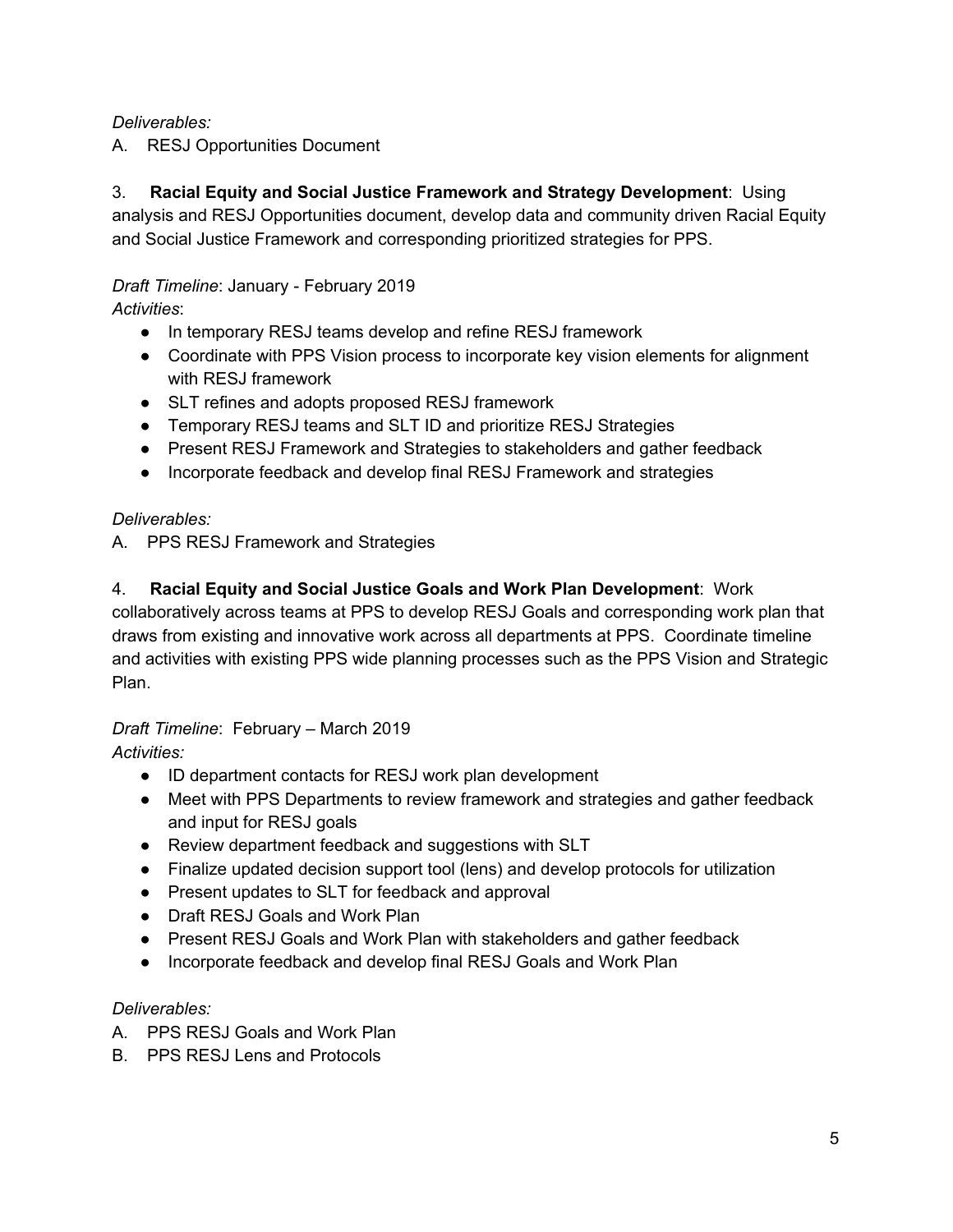#### *Deliverables:*

A. RESJ Opportunities Document

3. **Racial Equity and Social Justice Framework and Strategy Development**: Using analysis and RESJ Opportunities document, develop data and community driven Racial Equity and Social Justice Framework and corresponding prioritized strategies for PPS.

# *Draft Timeline*: January - February 2019

*Activities*:

- In temporary RESJ teams develop and refine RESJ framework
- Coordinate with PPS Vision process to incorporate key vision elements for alignment with RESJ framework
- SLT refines and adopts proposed RESJ framework
- Temporary RESJ teams and SLT ID and prioritize RESJ Strategies
- Present RESJ Framework and Strategies to stakeholders and gather feedback
- Incorporate feedback and develop final RESJ Framework and strategies

#### *Deliverables:*

A. PPS RESJ Framework and Strategies

#### 4. **Racial Equity and Social Justice Goals and Work Plan Development**: Work

collaboratively across teams at PPS to develop RESJ Goals and corresponding work plan that draws from existing and innovative work across all departments at PPS. Coordinate timeline and activities with existing PPS wide planning processes such as the PPS Vision and Strategic Plan.

#### *Draft Timeline*: February – March 2019

*Activities:*

- ID department contacts for RESJ work plan development
- Meet with PPS Departments to review framework and strategies and gather feedback and input for RESJ goals
- Review department feedback and suggestions with SLT
- Finalize updated decision support tool (lens) and develop protocols for utilization
- Present updates to SLT for feedback and approval
- Draft RESJ Goals and Work Plan
- Present RESJ Goals and Work Plan with stakeholders and gather feedback
- Incorporate feedback and develop final RESJ Goals and Work Plan

#### *Deliverables:*

- A. PPS RESJ Goals and Work Plan
- B. PPS RESJ Lens and Protocols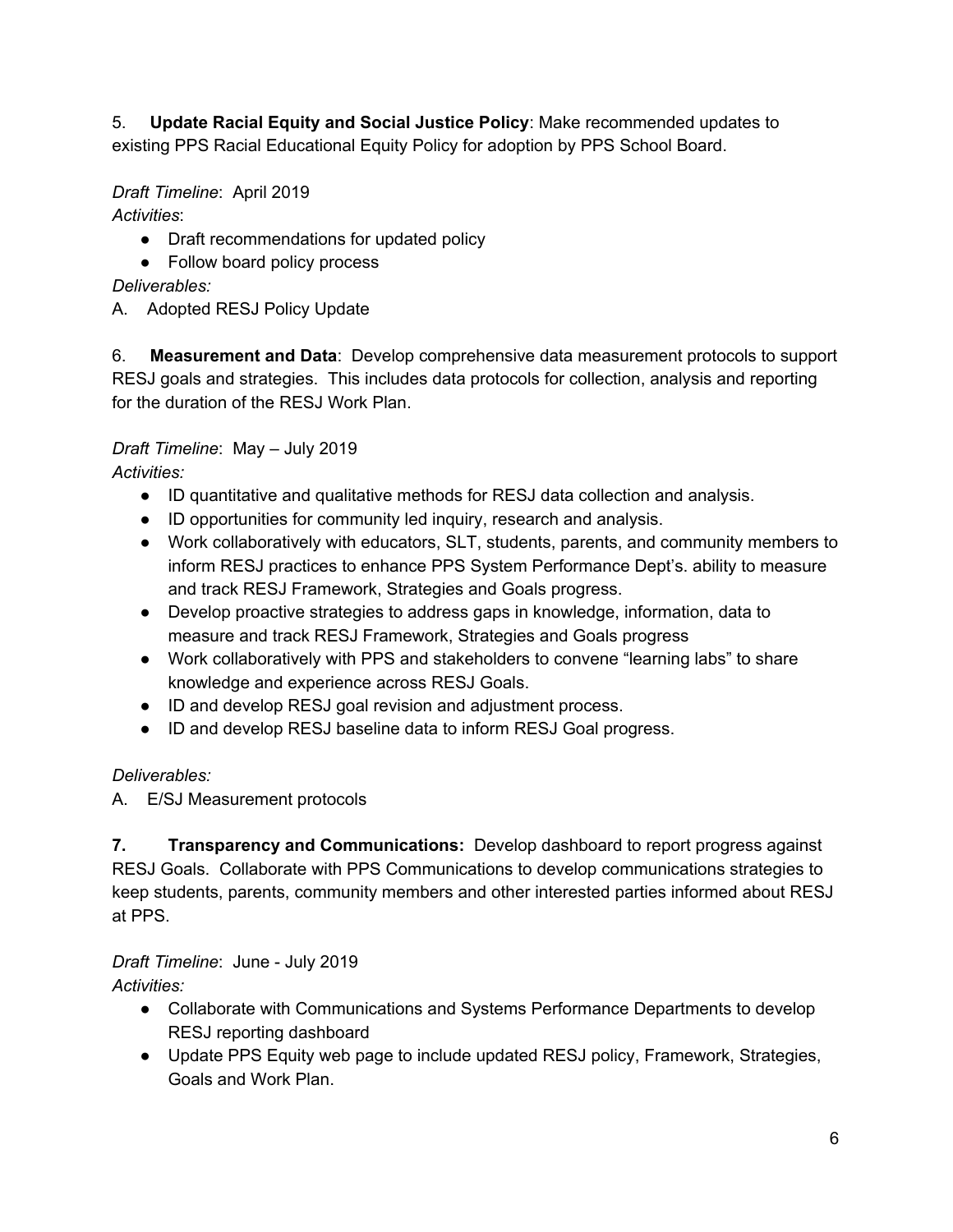5. **Update Racial Equity and Social Justice Policy**: Make recommended updates to existing PPS Racial Educational Equity Policy for adoption by PPS School Board.

# *Draft Timeline*: April 2019

*Activities*:

- Draft recommendations for updated policy
- Follow board policy process

## *Deliverables:*

A. Adopted RESJ Policy Update

6. **Measurement and Data**: Develop comprehensive data measurement protocols to support RESJ goals and strategies. This includes data protocols for collection, analysis and reporting for the duration of the RESJ Work Plan.

# *Draft Timeline*: May – July 2019

*Activities:*

- ID quantitative and qualitative methods for RESJ data collection and analysis.
- ID opportunities for community led inquiry, research and analysis.
- Work collaboratively with educators, SLT, students, parents, and community members to inform RESJ practices to enhance PPS System Performance Dept's. ability to measure and track RESJ Framework, Strategies and Goals progress.
- Develop proactive strategies to address gaps in knowledge, information, data to measure and track RESJ Framework, Strategies and Goals progress
- Work collaboratively with PPS and stakeholders to convene "learning labs" to share knowledge and experience across RESJ Goals.
- ID and develop RESJ goal revision and adjustment process.
- ID and develop RESJ baseline data to inform RESJ Goal progress.

# *Deliverables:*

A. E/SJ Measurement protocols

**7. Transparency and Communications:** Develop dashboard to report progress against RESJ Goals. Collaborate with PPS Communications to develop communications strategies to keep students, parents, community members and other interested parties informed about RESJ at PPS.

# *Draft Timeline*: June - July 2019

*Activities:*

- Collaborate with Communications and Systems Performance Departments to develop RESJ reporting dashboard
- Update PPS Equity web page to include updated RESJ policy, Framework, Strategies, Goals and Work Plan.